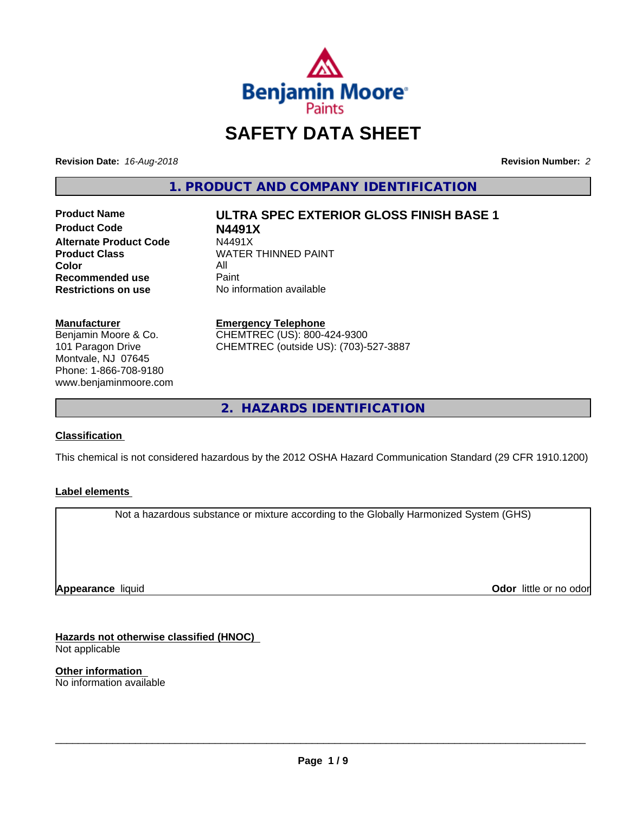

# **SAFETY DATA SHEET**

**Revision Date:** *16-Aug-2018* **Revision Number:** *2*

**1. PRODUCT AND COMPANY IDENTIFICATION**

**Product Code N4491X Alternate Product Code M4491X**<br>**Product Class NATER Color** All All<br>**Recommended use** Paint **Recommended use**<br>Restrictions on use

**Product Name ULTRA SPEC EXTERIOR GLOSS FINISH BASE 1**

**WATER THINNED PAINT No information available** 

#### **Manufacturer**

Benjamin Moore & Co. 101 Paragon Drive Montvale, NJ 07645 Phone: 1-866-708-9180 www.benjaminmoore.com

## **Emergency Telephone**

CHEMTREC (US): 800-424-9300 CHEMTREC (outside US): (703)-527-3887

**2. HAZARDS IDENTIFICATION**

## **Classification**

This chemical is not considered hazardous by the 2012 OSHA Hazard Communication Standard (29 CFR 1910.1200)

## **Label elements**

Not a hazardous substance or mixture according to the Globally Harmonized System (GHS)

**Appearance** liquid

**Odor** little or no odor

**Hazards not otherwise classified (HNOC)** Not applicable

**Other information** No information available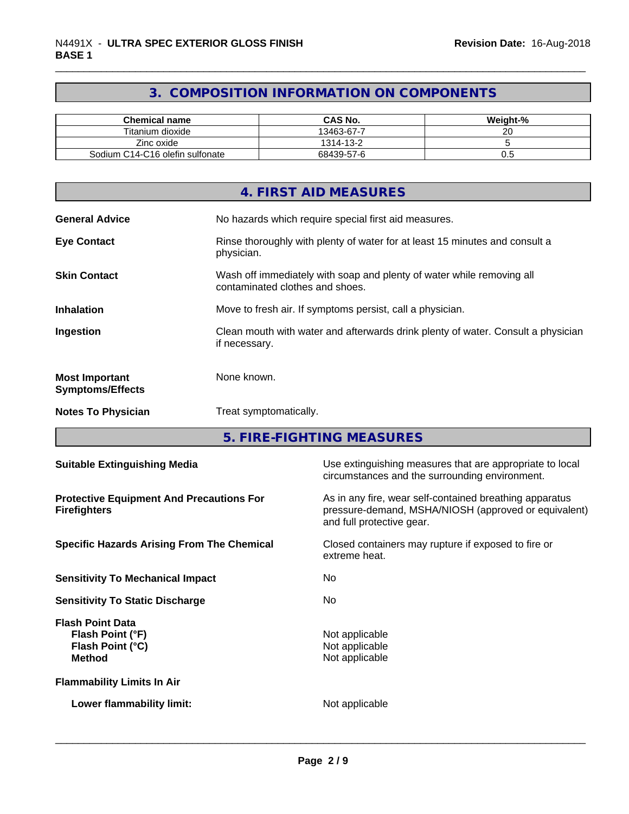# **3. COMPOSITION INFORMATION ON COMPONENTS**

| <b>Chemical name</b>            | CAS No.    | Weight-% |
|---------------------------------|------------|----------|
| Titanium dioxide                | 13463-67-7 | ~~<br>∸  |
| Zinc oxide                      | 1314-13-2  |          |
| Sodium C14-C16 olefin sulfonate | 68439-57-6 | v.J      |

|                                                  | 4. FIRST AID MEASURES                                                                                    |
|--------------------------------------------------|----------------------------------------------------------------------------------------------------------|
| <b>General Advice</b>                            | No hazards which require special first aid measures.                                                     |
| <b>Eye Contact</b>                               | Rinse thoroughly with plenty of water for at least 15 minutes and consult a<br>physician.                |
| <b>Skin Contact</b>                              | Wash off immediately with soap and plenty of water while removing all<br>contaminated clothes and shoes. |
| <b>Inhalation</b>                                | Move to fresh air. If symptoms persist, call a physician.                                                |
| Ingestion                                        | Clean mouth with water and afterwards drink plenty of water. Consult a physician<br>if necessary.        |
| <b>Most Important</b><br><b>Symptoms/Effects</b> | None known.                                                                                              |
| <b>Notes To Physician</b>                        | Treat symptomatically.                                                                                   |

**5. FIRE-FIGHTING MEASURES**

| <b>Suitable Extinguishing Media</b>                                              | Use extinguishing measures that are appropriate to local<br>circumstances and the surrounding environment.                                   |
|----------------------------------------------------------------------------------|----------------------------------------------------------------------------------------------------------------------------------------------|
| <b>Protective Equipment And Precautions For</b><br><b>Firefighters</b>           | As in any fire, wear self-contained breathing apparatus<br>pressure-demand, MSHA/NIOSH (approved or equivalent)<br>and full protective gear. |
| <b>Specific Hazards Arising From The Chemical</b>                                | Closed containers may rupture if exposed to fire or<br>extreme heat.                                                                         |
| <b>Sensitivity To Mechanical Impact</b>                                          | No.                                                                                                                                          |
| <b>Sensitivity To Static Discharge</b>                                           | No.                                                                                                                                          |
| <b>Flash Point Data</b><br>Flash Point (°F)<br>Flash Point (°C)<br><b>Method</b> | Not applicable<br>Not applicable<br>Not applicable                                                                                           |
| <b>Flammability Limits In Air</b>                                                |                                                                                                                                              |
| Lower flammability limit:                                                        | Not applicable                                                                                                                               |
|                                                                                  |                                                                                                                                              |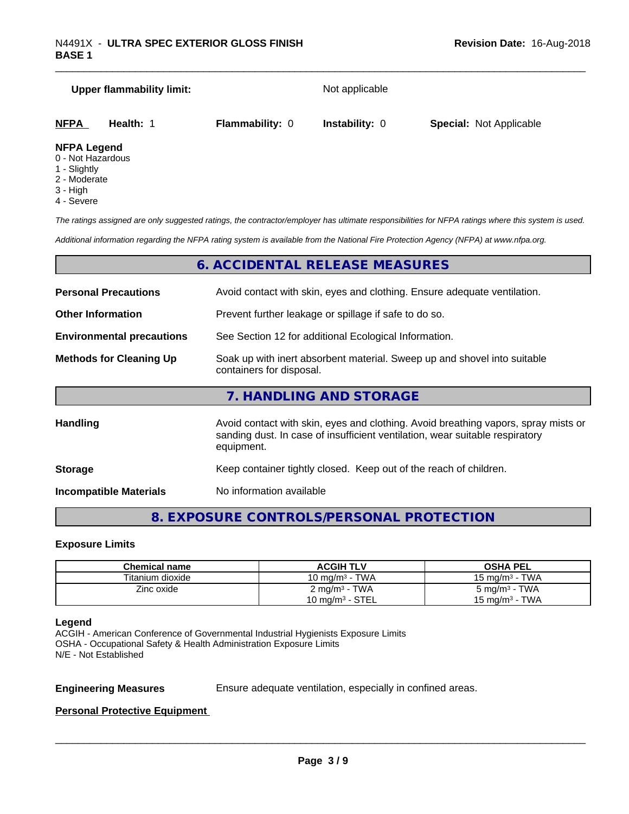# **Upper flammability limit:** Not applicable **NFPA Health:** 1 **Flammability:** 0 **Instability:** 0 **Special:** Not Applicable **NFPA Legend**

- 0 Not Hazardous
- 1 Slightly
- 2 Moderate
- 3 High
- 4 Severe

*The ratings assigned are only suggested ratings, the contractor/employer has ultimate responsibilities for NFPA ratings where this system is used.*

*Additional information regarding the NFPA rating system is available from the National Fire Protection Agency (NFPA) at www.nfpa.org.*

# **6. ACCIDENTAL RELEASE MEASURES**

| <b>Personal Precautions</b>                                                                                                            | Avoid contact with skin, eyes and clothing. Ensure adequate ventilation.                                                                                                         |  |
|----------------------------------------------------------------------------------------------------------------------------------------|----------------------------------------------------------------------------------------------------------------------------------------------------------------------------------|--|
| <b>Other Information</b>                                                                                                               | Prevent further leakage or spillage if safe to do so.                                                                                                                            |  |
| <b>Environmental precautions</b>                                                                                                       | See Section 12 for additional Ecological Information.                                                                                                                            |  |
| Soak up with inert absorbent material. Sweep up and shovel into suitable<br><b>Methods for Cleaning Up</b><br>containers for disposal. |                                                                                                                                                                                  |  |
|                                                                                                                                        | 7. HANDLING AND STORAGE                                                                                                                                                          |  |
| Handling                                                                                                                               | Avoid contact with skin, eyes and clothing. Avoid breathing vapors, spray mists or<br>sanding dust. In case of insufficient ventilation, wear suitable respiratory<br>equipment. |  |
| <b>Storage</b>                                                                                                                         | Keep container tightly closed. Keep out of the reach of children.                                                                                                                |  |

**Incompatible Materials** No information available

# **8. EXPOSURE CONTROLS/PERSONAL PROTECTION**

#### **Exposure Limits**

| Chemical name    | <b>ACGIH TLV</b>         | <b>OSHA PEL</b>           |
|------------------|--------------------------|---------------------------|
| Titanium dioxide | 10 mg/m $3$ - TWA        | 15 mg/m $3$ - TWA         |
| Zinc oxide       | $2 \text{ mg/m}^3$ - TWA | 5 mg/m <sup>3</sup> - TWA |
|                  | 10 mg/m $3$ - STEL       | 15 mg/m $3$ - TWA         |

#### **Legend**

ACGIH - American Conference of Governmental Industrial Hygienists Exposure Limits OSHA - Occupational Safety & Health Administration Exposure Limits N/E - Not Established

**Engineering Measures** Ensure adequate ventilation, especially in confined areas.

 $\overline{\phantom{a}}$  ,  $\overline{\phantom{a}}$  ,  $\overline{\phantom{a}}$  ,  $\overline{\phantom{a}}$  ,  $\overline{\phantom{a}}$  ,  $\overline{\phantom{a}}$  ,  $\overline{\phantom{a}}$  ,  $\overline{\phantom{a}}$  ,  $\overline{\phantom{a}}$  ,  $\overline{\phantom{a}}$  ,  $\overline{\phantom{a}}$  ,  $\overline{\phantom{a}}$  ,  $\overline{\phantom{a}}$  ,  $\overline{\phantom{a}}$  ,  $\overline{\phantom{a}}$  ,  $\overline{\phantom{a}}$ 

**Personal Protective Equipment**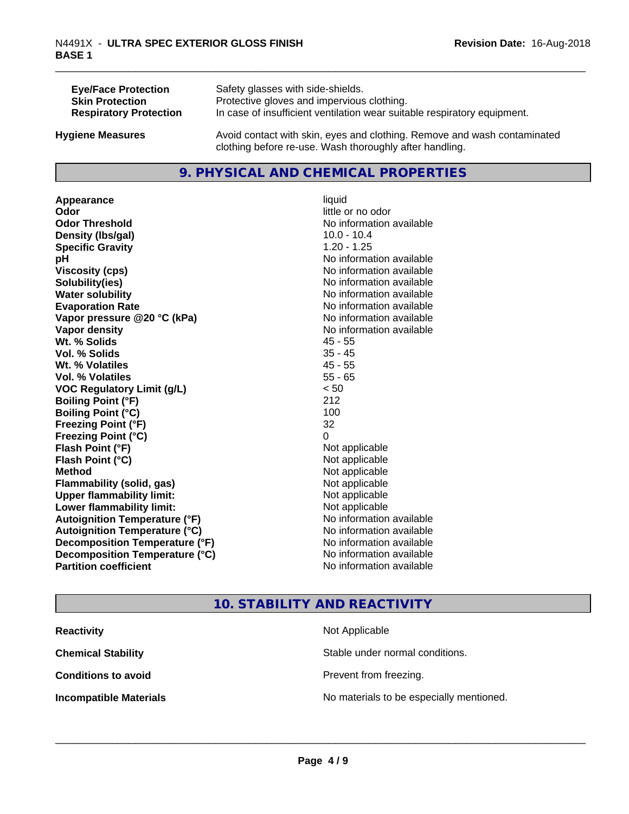| <b>Eye/Face Protection</b>    | Safety glasses with side-shields.                                        |
|-------------------------------|--------------------------------------------------------------------------|
| <b>Skin Protection</b>        | Protective gloves and impervious clothing.                               |
| <b>Respiratory Protection</b> | In case of insufficient ventilation wear suitable respiratory equipment. |
| <b>Hygiene Measures</b>       | Avoid contact with skin, eyes and clothing. Remove and wash contaminated |

# **9. PHYSICAL AND CHEMICAL PROPERTIES**

clothing before re-use. Wash thoroughly after handling.

**Appearance** liquid **odor** liquid **odor** little of little of little of little of little of little of little of little of little of little of little of little of little of little of little of little of little of little of l **Odor Threshold No information available No information available Density (Ibs/gal)** 10.0 - 10.4 **Specific Gravity** 1.20 - 1.25 **pH** No information available **Viscosity (cps)** No information available **Solubility(ies)** No information available **Water solubility Water solubility Water solubility Water solubility Water solubility Water solution Evaporation Rate No information available No information available Vapor pressure @20 °C (kPa)** No information available **Vapor density No information available Wt. % Solids** 45 - 55<br> **Vol. % Solids** 45 - 45 **Vol. % Solids Wt. % Volatiles** 45 - 55 **Vol. % Volatiles** 55 - 65 **VOC Regulatory Limit (g/L)** < 50 **Boiling Point (°F)** 212 **Boiling Point**  $(^{\circ}C)$  100 **Freezing Point (°F)** 32 **Freezing Point (°C)** 0 **Flash Point (°F)**<br> **Flash Point (°C)**<br> **Flash Point (°C)**<br> **Point (°C) Flash Point (°C) Method** Not applicable **Flammability (solid, gas)** Not applicable **Upper flammability limit:** Not applicable **Lower flammability limit:** Not applicable **Autoignition Temperature (°F)** No information available **Autoignition Temperature (°C)** No information available **Decomposition Temperature (°F)**<br> **Decomposition Temperature (°C)**<br>
No information available **Decomposition Temperature (°C)**<br>Partition coefficient

little or no odor **No information available** 

# **10. STABILITY AND REACTIVITY**

| <b>Reactivity</b>             | Not Applicable                           |
|-------------------------------|------------------------------------------|
| <b>Chemical Stability</b>     | Stable under normal conditions.          |
| <b>Conditions to avoid</b>    | Prevent from freezing.                   |
| <b>Incompatible Materials</b> | No materials to be especially mentioned. |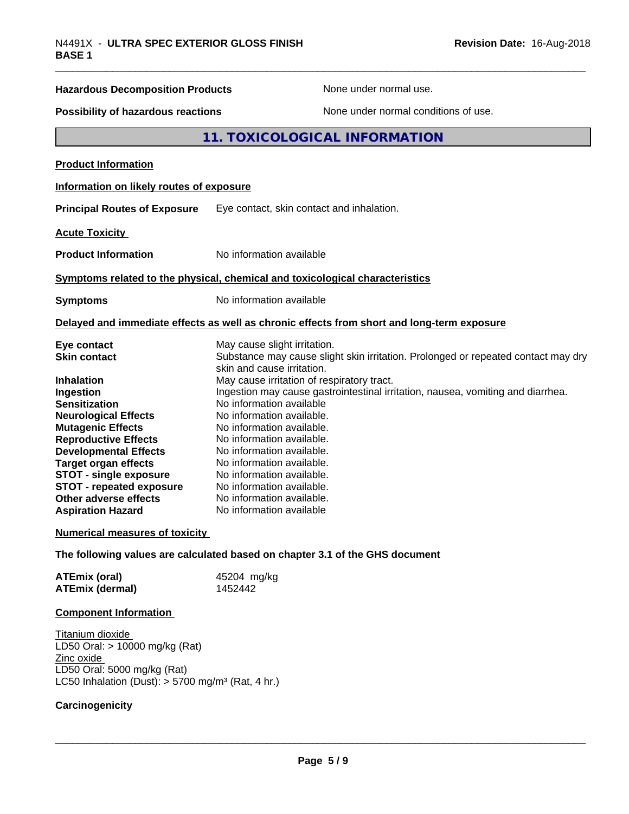| ו שמע                                     |                                                                                            |
|-------------------------------------------|--------------------------------------------------------------------------------------------|
| <b>Hazardous Decomposition Products</b>   | None under normal use.                                                                     |
| <b>Possibility of hazardous reactions</b> | None under normal conditions of use.                                                       |
|                                           | 11. TOXICOLOGICAL INFORMATION                                                              |
| <b>Product Information</b>                |                                                                                            |
| Information on likely routes of exposure  |                                                                                            |
| <b>Principal Routes of Exposure</b>       | Eye contact, skin contact and inhalation.                                                  |
| <b>Acute Toxicity</b>                     |                                                                                            |
| <b>Product Information</b>                | No information available                                                                   |
|                                           | Symptoms related to the physical, chemical and toxicological characteristics               |
| <b>Symptoms</b>                           | No information available                                                                   |
|                                           | Delayed and immediate effects as well as chronic effects from short and long-term exposure |
| Eye contact                               | May cause slight irritation.                                                               |
| <b>Skin contact</b>                       | Substance may cause slight skin irritation. Prolonged or repeated contact may dry          |
| <b>Inhalation</b>                         | skin and cause irritation.<br>May cause irritation of respiratory tract.                   |
| Ingestion                                 | Ingestion may cause gastrointestinal irritation, nausea, vomiting and diarrhea.            |
| <b>Sensitization</b>                      | No information available                                                                   |
| <b>Neurological Effects</b>               | No information available.                                                                  |
| <b>Mutagenic Effects</b>                  | No information available.                                                                  |
| <b>Reproductive Effects</b>               | No information available.                                                                  |
| <b>Developmental Effects</b>              | No information available.                                                                  |
| <b>Target organ effects</b>               | No information available.                                                                  |
| <b>STOT - single exposure</b>             | No information available.                                                                  |
| <b>STOT - repeated exposure</b>           | No information available.                                                                  |
| Other adverse effects                     | No information available.                                                                  |
| <b>Aspiration Hazard</b>                  | No information available                                                                   |

#### **Numerical measures of toxicity**

**The following values are calculated based on chapter 3.1 of the GHS document**

| <b>ATEmix (oral)</b>   | 45204 mg/kg |
|------------------------|-------------|
| <b>ATEmix (dermal)</b> | 1452442     |

#### **Component Information**

Titanium dioxide LD50 Oral: > 10000 mg/kg (Rat) Zinc oxide LD50 Oral: 5000 mg/kg (Rat) LC50 Inhalation (Dust):  $> 5700$  mg/m<sup>3</sup> (Rat, 4 hr.)

#### **Carcinogenicity**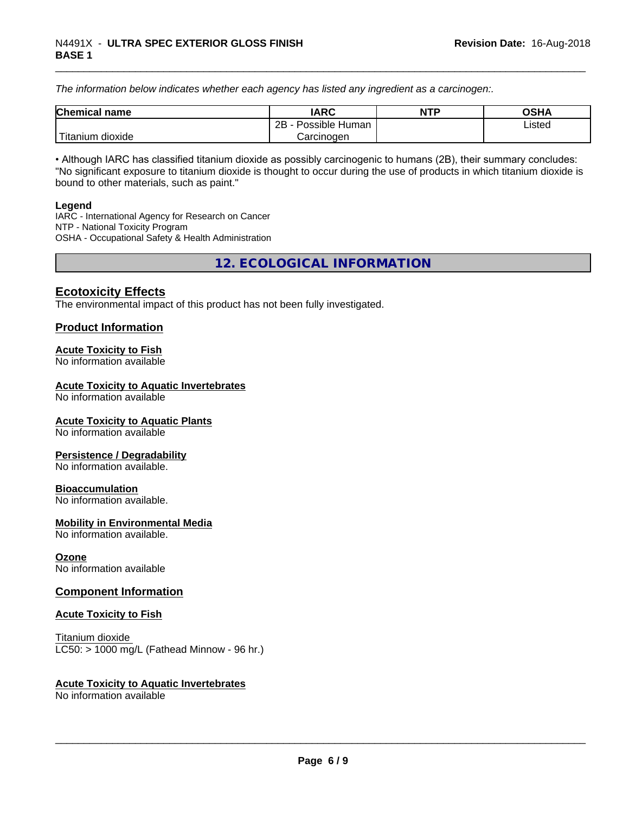*The information below indicateswhether each agency has listed any ingredient as a carcinogen:.*

| <b>Chemical</b><br>name | <b>IARC</b>                    | <b>NTP</b> | <b>OSHA</b> |
|-------------------------|--------------------------------|------------|-------------|
|                         | . .<br>2B<br>Possible<br>Human |            | Listed<br>. |
| dioxide<br>⊺itanium     | Carcinogen                     |            |             |

• Although IARC has classified titanium dioxide as possibly carcinogenic to humans (2B), their summary concludes: "No significant exposure to titanium dioxide is thought to occur during the use of products in which titanium dioxide is bound to other materials, such as paint."

#### **Legend**

IARC - International Agency for Research on Cancer NTP - National Toxicity Program OSHA - Occupational Safety & Health Administration

**12. ECOLOGICAL INFORMATION**

## **Ecotoxicity Effects**

The environmental impact of this product has not been fully investigated.

## **Product Information**

#### **Acute Toxicity to Fish**

No information available

#### **Acute Toxicity to Aquatic Invertebrates**

No information available

#### **Acute Toxicity to Aquatic Plants**

No information available

#### **Persistence / Degradability**

No information available.

#### **Bioaccumulation**

No information available.

#### **Mobility in Environmental Media**

No information available.

#### **Ozone**

No information available

## **Component Information**

#### **Acute Toxicity to Fish**

Titanium dioxide  $LC50:$  > 1000 mg/L (Fathead Minnow - 96 hr.)

#### **Acute Toxicity to Aquatic Invertebrates**

No information available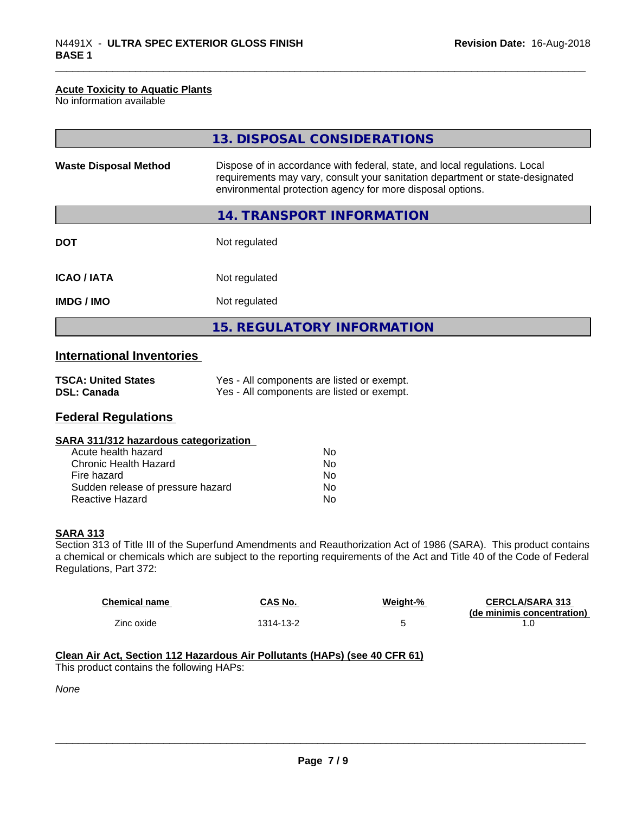#### **Acute Toxicity to Aquatic Plants**

No information available

|                              | 13. DISPOSAL CONSIDERATIONS                                                                                                                                                                                               |
|------------------------------|---------------------------------------------------------------------------------------------------------------------------------------------------------------------------------------------------------------------------|
| <b>Waste Disposal Method</b> | Dispose of in accordance with federal, state, and local regulations. Local<br>requirements may vary, consult your sanitation department or state-designated<br>environmental protection agency for more disposal options. |
|                              | 14. TRANSPORT INFORMATION                                                                                                                                                                                                 |
| <b>DOT</b>                   | Not regulated                                                                                                                                                                                                             |
| <b>ICAO/IATA</b>             | Not regulated                                                                                                                                                                                                             |
| <b>IMDG/IMO</b>              | Not regulated                                                                                                                                                                                                             |
|                              | <b>15. REGULATORY INFORMATION</b>                                                                                                                                                                                         |

# **International Inventories**

| <b>TSCA: United States</b> | Yes - All components are listed or exempt. |
|----------------------------|--------------------------------------------|
| <b>DSL: Canada</b>         | Yes - All components are listed or exempt. |

# **Federal Regulations**

|  | SARA 311/312 hazardous categorization |  |
|--|---------------------------------------|--|
|--|---------------------------------------|--|

| Acute health hazard               | N٥ |
|-----------------------------------|----|
| Chronic Health Hazard             | N٥ |
| Fire hazard                       | N٥ |
| Sudden release of pressure hazard | Nο |
| Reactive Hazard                   | N٥ |

### **SARA 313**

Section 313 of Title III of the Superfund Amendments and Reauthorization Act of 1986 (SARA). This product contains a chemical or chemicals which are subject to the reporting requirements of the Act and Title 40 of the Code of Federal Regulations, Part 372:

| <b>Chemical name</b> | CAS No.   | Weiaht-% | <b>CERCLA/SARA 313</b><br>(de minimis concentration) |
|----------------------|-----------|----------|------------------------------------------------------|
| Zinc oxide           | 1314-13-2 |          | . . U                                                |

# **Clean Air Act,Section 112 Hazardous Air Pollutants (HAPs) (see 40 CFR 61)**

This product contains the following HAPs:

*None*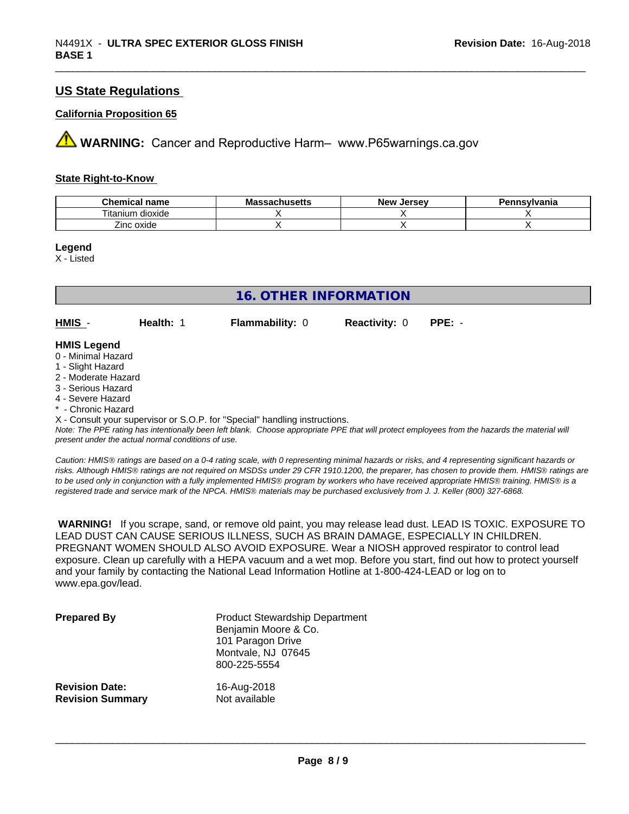# **US State Regulations**

#### **California Proposition 65**

**AVIMARNING:** Cancer and Reproductive Harm– www.P65warnings.ca.gov

#### **State Right-to-Know**

| <b>Chemical name</b>     | <b>Massachusetts</b> | . Jersev<br><b>N</b> OW<br>NGM | Pennsylvania |
|--------------------------|----------------------|--------------------------------|--------------|
| --<br>itanium<br>dioxide |                      |                                |              |
| Zinc oxide               |                      |                                |              |

**Legend**

X - Listed

| 16. OTHER INFORMATION                                       |           |                        |                      |        |
|-------------------------------------------------------------|-----------|------------------------|----------------------|--------|
| $HMIS -$                                                    | Health: 1 | <b>Flammability: 0</b> | <b>Reactivity: 0</b> | PPE: - |
| <b>HMIS Legend</b><br>0 - Minimal Hazard<br>4 Cliebt Horord |           |                        |                      |        |

#### 1 - Slight Hazard

- 2 Moderate Hazard
- 3 Serious Hazard
- 4 Severe Hazard
- \* Chronic Hazard

X - Consult your supervisor or S.O.P. for "Special" handling instructions.

*Note: The PPE rating has intentionally been left blank. Choose appropriate PPE that will protect employees from the hazards the material will present under the actual normal conditions of use.*

*Caution: HMISÒ ratings are based on a 0-4 rating scale, with 0 representing minimal hazards or risks, and 4 representing significant hazards or risks. Although HMISÒ ratings are not required on MSDSs under 29 CFR 1910.1200, the preparer, has chosen to provide them. HMISÒ ratings are to be used only in conjunction with a fully implemented HMISÒ program by workers who have received appropriate HMISÒ training. HMISÒ is a registered trade and service mark of the NPCA. HMISÒ materials may be purchased exclusively from J. J. Keller (800) 327-6868.*

 **WARNING!** If you scrape, sand, or remove old paint, you may release lead dust. LEAD IS TOXIC. EXPOSURE TO LEAD DUST CAN CAUSE SERIOUS ILLNESS, SUCH AS BRAIN DAMAGE, ESPECIALLY IN CHILDREN. PREGNANT WOMEN SHOULD ALSO AVOID EXPOSURE.Wear a NIOSH approved respirator to control lead exposure. Clean up carefully with a HEPA vacuum and a wet mop. Before you start, find out how to protect yourself and your family by contacting the National Lead Information Hotline at 1-800-424-LEAD or log on to www.epa.gov/lead.

| <b>Prepared By</b>      | <b>Product Stewardship Department</b><br>Benjamin Moore & Co.<br>101 Paragon Drive<br>Montvale, NJ 07645<br>800-225-5554 |
|-------------------------|--------------------------------------------------------------------------------------------------------------------------|
| <b>Revision Date:</b>   | 16-Aug-2018                                                                                                              |
| <b>Revision Summary</b> | Not available                                                                                                            |